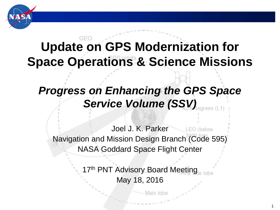

### GFC **Update on GPS Modernization for Space Operations & Science Missions**

## *Progress on Enhancing the GPS Space Service Volume (SSV)*

Joel J. K. Parker  $\angle$  LEO (below Navigation and Mission Design Branch (Code 595) NASA Goddard Space Flight Center

> 17<sup>th</sup> PNT Advisory Board Meeting May 18, 2016

> > Main lobe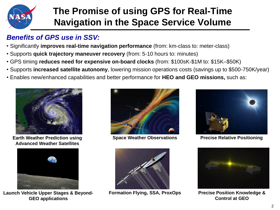

### **The Promise of using GPS for Real-Time Navigation in the Space Service Volume**

#### *Benefits of GPS use in SSV:*

- Significantly **improves real-time navigation performance** (from: km-class to: meter-class)
- Supports **quick trajectory maneuver recovery** (from: 5-10 hours to: minutes)
- GPS timing **reduces need for expensive on-board clocks** (from: \$100sK-\$1M to: \$15K–\$50K)
- Supports **increased satellite autonomy**, lowering mission operations costs (savings up to \$500-750K/year)
- Enables new/enhanced capabilities and better performance for **HEO and GEO missions,** such as:



**Earth Weather Prediction using Advanced Weather Satellites**



**Launch Vehicle Upper Stages & Beyond-GEO applications**



**Space Weather Observations**



**Formation Flying, SSA, ProxOps**



**Precise Relative Positioning**



**Precise Position Knowledge & Control at GEO**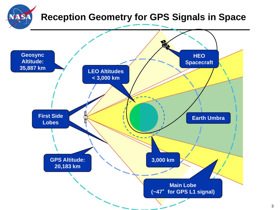### **Reception Geometry for GPS Signals in Space** HSA **SE Geosync HEO Altitude: Spacecraft 35,887 km LEO Altitudes < 3,000 km First Side First Side Earth Umbra Lobes Lobes3,000 km GPS Altitude: 20,183 km Main Lobe (~47**°**for GPS L1 signal)**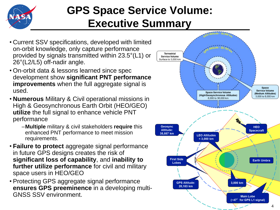

## **GPS Space Service Volume: Executive Summary**

- Current SSV specifications, developed with limited on-orbit knowledge, only capture performance provided by signals transmitted within 23.5°(L1) or 26°(L2/L5) off-nadir angle.
- On-orbit data & lessons learned since spec development show **significant PNT performance improvements** when the full aggregate signal is used.
- **Numerous** Military & Civil operational missions in High & Geosynchronous Earth Orbit (HEO/GEO) **utilize** the full signal to enhance vehicle PNT performance
	- –**Multiple** military & civil stakeholders **require** this enhanced PNT performance to meet mission requirements.
- **Failure to protect** aggregate signal performance in future GPS designs creates the risk of **significant loss of capability**, and **inability to further utilize performance** for civil and military space users in HEO/GEO
- Protecting GPS aggregate signal performance **ensures GPS preeminence** in a developing multi-GNSS SSV environment.

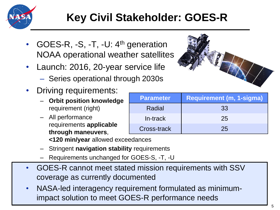

## **Key Civil Stakeholder: GOES-R**

- GOES-R, -S, -T, -U: 4<sup>th</sup> generation NOAA operational weather satellites
- Launch: 2016, 20-year service life
	- Series operational through 2030s
- Driving requirements:
	- **Orbit position knowledge** requirement (right)
	- All performance requirements **applicable through maneuvers**, **<120 min/year** allowed exceedances
	- Stringent **navigation stability** requirements
	- Requirements unchanged for GOES-S, -T, -U
- GOES-R cannot meet stated mission requirements with SSV coverage as currently documented
- NASA-led interagency requirement formulated as minimumimpact solution to meet GOES-R performance needs



| Parameter   | <b>Requirement (m, 1-sigma)</b> |
|-------------|---------------------------------|
| Radial      | 33                              |
| In-track    | 25                              |
| Cross-track | 25                              |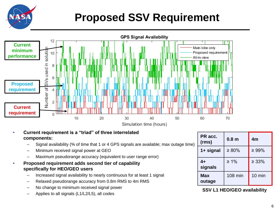

## **Proposed SSV Requirement**



#### • **Current requirement is a "triad" of three interrelated components:**

- Signal availability (% of time that 1 or 4 GPS signals are available; max outage time)
- Minimum received signal power at GEO
- Maximum pseudorange accuracy (equivalent to user range error)
- **Proposed requirement adds second tier of capability specifically for HEO/GEO users**
	- Increased signal availability to nearly continuous for at least 1 signal
	- Relaxed pseudorange accuracy from 0.8m RMS to 4m RMS
	- No change to minimum received signal power
	- Applies to all signals (L1/L2/L5), all codes

| PR acc.<br>(rms)     | 0.8 <sub>m</sub> | 4 <sub>m</sub>   |
|----------------------|------------------|------------------|
| 1+ signal            | $\geq 80\%$      | $\geq 99\%$      |
| $4+$<br>signals      | $\geq 1\%$       | $\geq 33\%$      |
| <b>Max</b><br>outage | <b>108 min</b>   | $10 \text{ min}$ |

**SSV L1 HEO/GEO availability**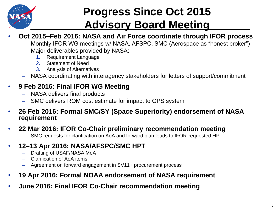

## **Progress Since Oct 2015 Advisory Board Meeting**

- **Oct 2015–Feb 2016: NASA and Air Force coordinate through IFOR process**
	- Monthly IFOR WG meetings w/ NASA, AFSPC, SMC (Aerospace as "honest broker")
	- Major deliverables provided by NASA:
		- 1. Requirement Language
		- 2. Statement of Need
		- 3. Analysis of Alternatives
	- NASA coordinating with interagency stakeholders for letters of support/commitment

#### • **9 Feb 2016: Final IFOR WG Meeting**

- NASA delivers final products
- SMC delivers ROM cost estimate for impact to GPS system
- **26 Feb 2016: Formal SMC/SY (Space Superiority) endorsement of NASA requirement**

#### • **22 Mar 2016: IFOR Co-Chair preliminary recommendation meeting**

- SMC requests for clarification on AoA and forward plan leads to IFOR-requested HPT
- **12–13 Apr 2016: NASA/AFSPC/SMC HPT**
	- Drafting of USAF/NASA MoA
	- Clarification of AoA items
	- Agreement on forward engagement in SV11+ procurement process
- **19 Apr 2016: Formal NOAA endorsement of NASA requirement**
- **June 2016: Final IFOR Co-Chair recommendation meeting**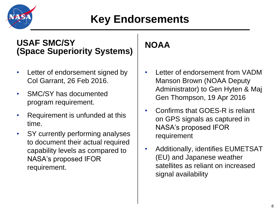

#### **USAF SMC/SY (Space Superiority Systems)**

- Letter of endorsement signed by Col Garrant, 26 Feb 2016.
- SMC/SY has documented program requirement.
- Requirement is unfunded at this time.
- SY currently performing analyses to document their actual required capability levels as compared to NASA's proposed IFOR requirement.

### **NOAA**

- Letter of endorsement from VADM Manson Brown (NOAA Deputy Administrator) to Gen Hyten & Maj Gen Thompson, 19 Apr 2016
- Confirms that GOES-R is reliant on GPS signals as captured in NASA's proposed IFOR requirement
- Additionally, identifies EUMETSAT (EU) and Japanese weather satellites as reliant on increased signal availability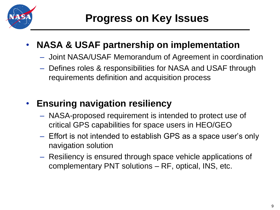

## • **NASA & USAF partnership on implementation**

- Joint NASA/USAF Memorandum of Agreement in coordination
- Defines roles & responsibilities for NASA and USAF through requirements definition and acquisition process

### • **Ensuring navigation resiliency**

- NASA-proposed requirement is intended to protect use of critical GPS capabilities for space users in HEO/GEO
- Effort is not intended to establish GPS as a space user's only navigation solution
- Resiliency is ensured through space vehicle applications of complementary PNT solutions – RF, optical, INS, etc.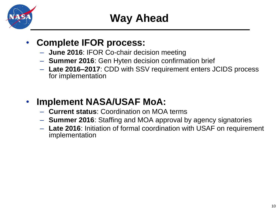

### • **Complete IFOR process:**

- **June 2016**: IFOR Co-chair decision meeting
- **Summer 2016**: Gen Hyten decision confirmation brief
- **Late 2016–2017**: CDD with SSV requirement enters JCIDS process for implementation

### • **Implement NASA/USAF MoA:**

- **Current status**: Coordination on MOA terms
- **Summer 2016**: Staffing and MOA approval by agency signatories
- **Late 2016**: Initiation of formal coordination with USAF on requirement implementation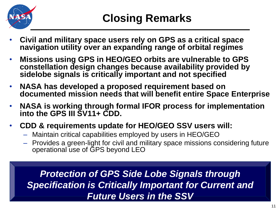

- **Civil and military space users rely on GPS as a critical space navigation utility over an expanding range of orbital regimes**
- **Missions using GPS in HEO/GEO orbits are vulnerable to GPS constellation design changes because availability provided by sidelobe signals is critically important and not specified**
- **NASA has developed a proposed requirement based on documented mission needs that will benefit entire Space Enterprise**
- **NASA is working through formal IFOR process for implementation into the GPS III SV11+ CDD.**
- **CDD & requirements update for HEO/GEO SSV users will:**
	- Maintain critical capabilities employed by users in HEO/GEO
	- Provides a green-light for civil and military space missions considering future operational use of GPS beyond LEO

*Protection of GPS Side Lobe Signals through Specification is Critically Important for Current and Future Users in the SSV*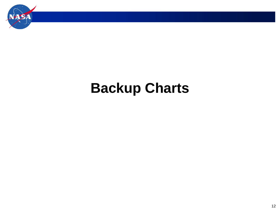

# **Backup Charts**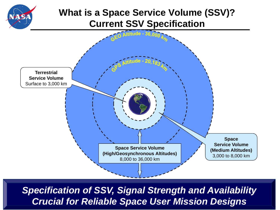### **What is a Space Service Volume (SSV)? Current SSV Specification**



*Specification of SSV, Signal Strength and Availability Crucial for Reliable Space User Mission Designs*

 $\overline{\phantom{a}}$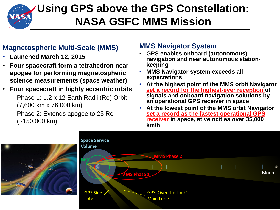

## **Using GPS above the GPS Constellation: NASA GSFC MMS Mission**

#### **Magnetospheric Multi-Scale (MMS)**

- **Launched March 12, 2015**
- **Four spacecraft form a tetrahedron near apogee for performing magnetospheric science measurements (space weather)**
- **Four spacecraft in highly eccentric orbits**
	- Phase 1: 1.2 x 12 Earth Radii (Re) Orbit (7,600 km x 76,000 km)
	- Phase 2: Extends apogee to 25 Re (~150,000 km)

#### **MMS Navigator System**

- **GPS enables onboard (autonomous) navigation and near autonomous stationkeeping**
- **MMS Navigator system exceeds all expectations**
- **At the highest point of the MMS orbit Navigator set a record for the highest-ever reception of signals and onboard navigation solutions by an operational GPS receiver in space**
- **At the lowest point of the MMS orbit Navigator set a record as the fastest operational GPS receiver in space, at velocities over 35,000 km/h**



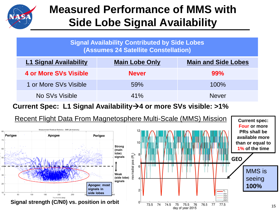

## **Measured Performance of MMS with Side Lobe Signal Availability**

|                                      | Signal Availability Contributed by Side Lobes |  |  |
|--------------------------------------|-----------------------------------------------|--|--|
| (Assumes 24 Satellite Constellation) |                                               |  |  |

| <b>L1 Signal Availability</b> | <b>Main Lobe Only</b> | <b>Main and Side Lobes</b> |
|-------------------------------|-----------------------|----------------------------|
| <b>4 or More SVs Visible</b>  | <b>Never</b>          | 99%                        |
| 1 or More SVs Visible         | 59%                   | 100%                       |
| No SVs Visible                | 41%                   | <b>Never</b>               |

**Current Spec: L1 Signal Availability4 or more SVs visible: >1%**